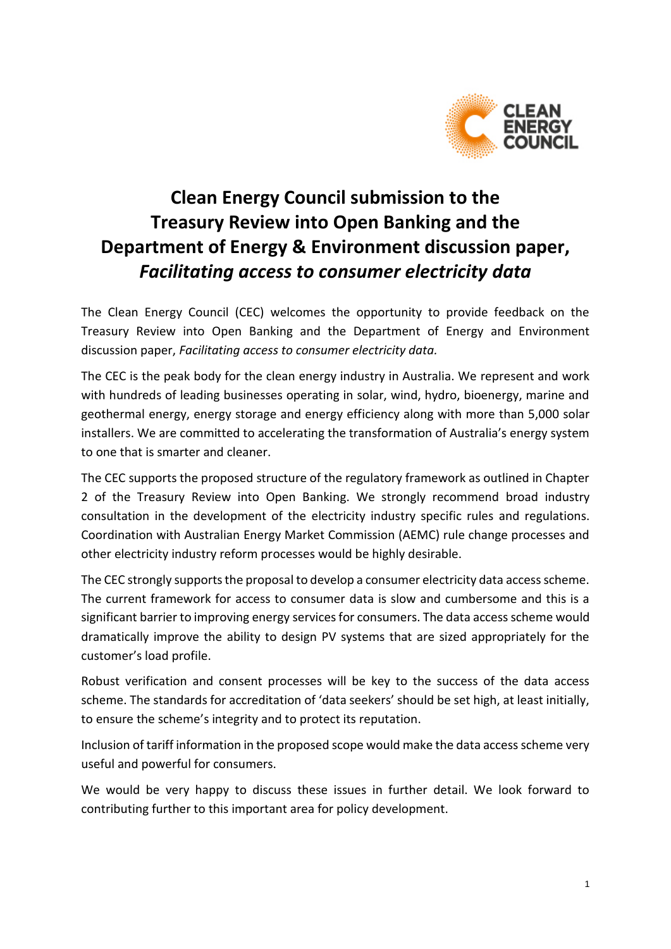

# **Clean Energy Council submission to the Treasury Review into Open Banking and the Department of Energy & Environment discussion paper,** *Facilitating access to consumer electricity data*

The Clean Energy Council (CEC) welcomes the opportunity to provide feedback on the Treasury Review into Open Banking and the Department of Energy and Environment discussion paper, *Facilitating access to consumer electricity data.*

The CEC is the peak body for the clean energy industry in Australia. We represent and work with hundreds of leading businesses operating in solar, wind, hydro, bioenergy, marine and geothermal energy, energy storage and energy efficiency along with more than 5,000 solar installers. We are committed to accelerating the transformation of Australia's energy system to one that is smarter and cleaner.

The CEC supports the proposed structure of the regulatory framework as outlined in Chapter 2 of the Treasury Review into Open Banking. We strongly recommend broad industry consultation in the development of the electricity industry specific rules and regulations. Coordination with Australian Energy Market Commission (AEMC) rule change processes and other electricity industry reform processes would be highly desirable.

The CEC strongly supports the proposal to develop a consumer electricity data access scheme. The current framework for access to consumer data is slow and cumbersome and this is a significant barrier to improving energy services for consumers. The data access scheme would dramatically improve the ability to design PV systems that are sized appropriately for the customer's load profile.

Robust verification and consent processes will be key to the success of the data access scheme. The standards for accreditation of 'data seekers' should be set high, at least initially, to ensure the scheme's integrity and to protect its reputation.

Inclusion of tariff information in the proposed scope would make the data access scheme very useful and powerful for consumers.

We would be very happy to discuss these issues in further detail. We look forward to contributing further to this important area for policy development.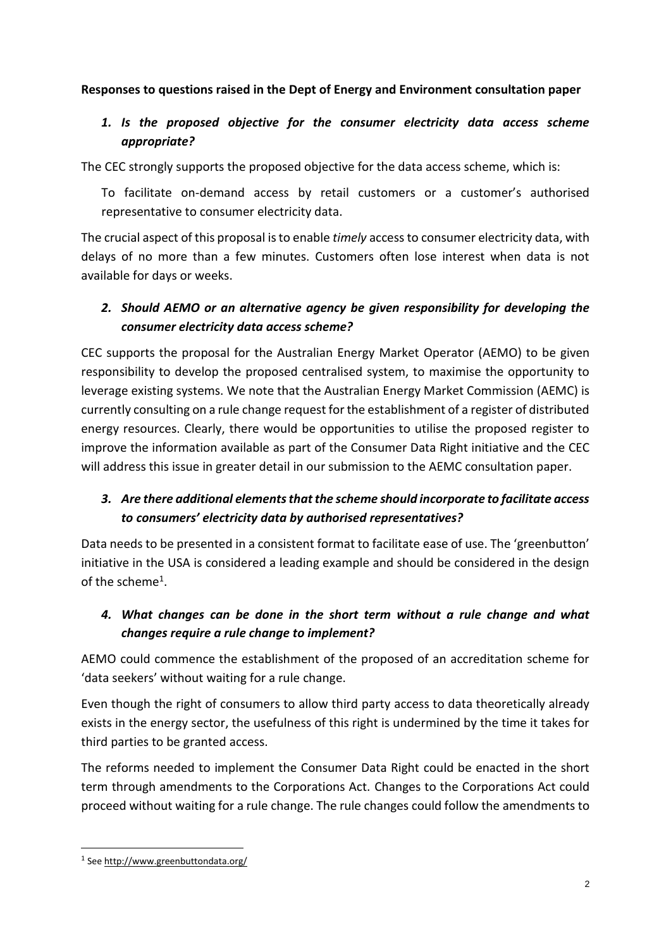#### **Responses to questions raised in the Dept of Energy and Environment consultation paper**

## *1. Is the proposed objective for the consumer electricity data access scheme appropriate?*

The CEC strongly supports the proposed objective for the data access scheme, which is:

To facilitate on-demand access by retail customers or a customer's authorised representative to consumer electricity data.

The crucial aspect of this proposal is to enable *timely* access to consumer electricity data, with delays of no more than a few minutes. Customers often lose interest when data is not available for days or weeks.

## *2. Should AEMO or an alternative agency be given responsibility for developing the consumer electricity data access scheme?*

CEC supports the proposal for the Australian Energy Market Operator (AEMO) to be given responsibility to develop the proposed centralised system, to maximise the opportunity to leverage existing systems. We note that the Australian Energy Market Commission (AEMC) is currently consulting on a rule change request for the establishment of a register of distributed energy resources. Clearly, there would be opportunities to utilise the proposed register to improve the information available as part of the Consumer Data Right initiative and the CEC will address this issue in greater detail in our submission to the AEMC consultation paper.

#### *3. Are there additional elements that the scheme should incorporate to facilitate access to consumers' electricity data by authorised representatives?*

Data needs to be presented in a consistent format to facilitate ease of use. The 'greenbutton' initiative in the USA is considered a leading example and should be considered in the design of the scheme<sup>1</sup>.

## *4. What changes can be done in the short term without a rule change and what changes require a rule change to implement?*

AEMO could commence the establishment of the proposed of an accreditation scheme for 'data seekers' without waiting for a rule change.

Even though the right of consumers to allow third party access to data theoretically already exists in the energy sector, the usefulness of this right is undermined by the time it takes for third parties to be granted access.

The reforms needed to implement the Consumer Data Right could be enacted in the short term through amendments to the Corporations Act. Changes to the Corporations Act could proceed without waiting for a rule change. The rule changes could follow the amendments to

**.** 

<sup>&</sup>lt;sup>1</sup> Se[e http://www.greenbuttondata.org/](http://www.greenbuttondata.org/)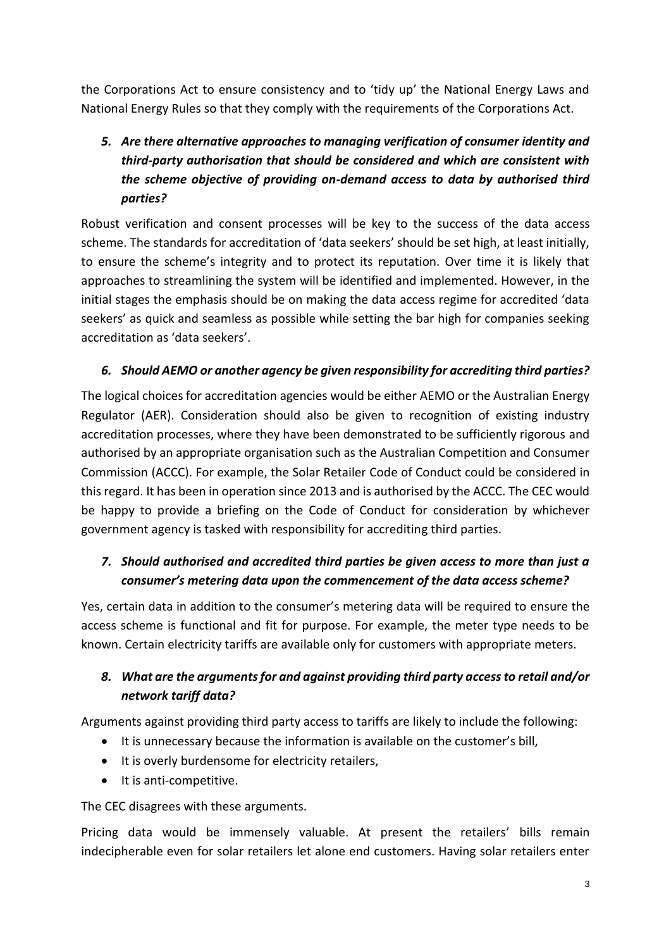the Corporations Act to ensure consistency and to 'tidy up' the National Energy Laws and National Energy Rules so that they comply with the requirements of the Corporations Act.

## *5. Are there alternative approaches to managing verification of consumer identity and third-party authorisation that should be considered and which are consistent with the scheme objective of providing on-demand access to data by authorised third parties?*

Robust verification and consent processes will be key to the success of the data access scheme. The standards for accreditation of 'data seekers' should be set high, at least initially, to ensure the scheme's integrity and to protect its reputation. Over time it is likely that approaches to streamlining the system will be identified and implemented. However, in the initial stages the emphasis should be on making the data access regime for accredited 'data seekers' as quick and seamless as possible while setting the bar high for companies seeking accreditation as 'data seekers'.

#### *6. Should AEMO or another agency be given responsibility for accrediting third parties?*

The logical choices for accreditation agencies would be either AEMO or the Australian Energy Regulator (AER). Consideration should also be given to recognition of existing industry accreditation processes, where they have been demonstrated to be sufficiently rigorous and authorised by an appropriate organisation such as the Australian Competition and Consumer Commission (ACCC). For example, the Solar Retailer Code of Conduct could be considered in this regard. It has been in operation since 2013 and is authorised by the ACCC. The CEC would be happy to provide a briefing on the Code of Conduct for consideration by whichever government agency is tasked with responsibility for accrediting third parties.

## *7. Should authorised and accredited third parties be given access to more than just a consumer's metering data upon the commencement of the data access scheme?*

Yes, certain data in addition to the consumer's metering data will be required to ensure the access scheme is functional and fit for purpose. For example, the meter type needs to be known. Certain electricity tariffs are available only for customers with appropriate meters.

## *8. What are the arguments for and against providing third party access to retail and/or network tariff data?*

Arguments against providing third party access to tariffs are likely to include the following:

- It is unnecessary because the information is available on the customer's bill,
- It is overly burdensome for electricity retailers,
- It is anti-competitive.

The CEC disagrees with these arguments.

Pricing data would be immensely valuable. At present the retailers' bills remain indecipherable even for solar retailers let alone end customers. Having solar retailers enter